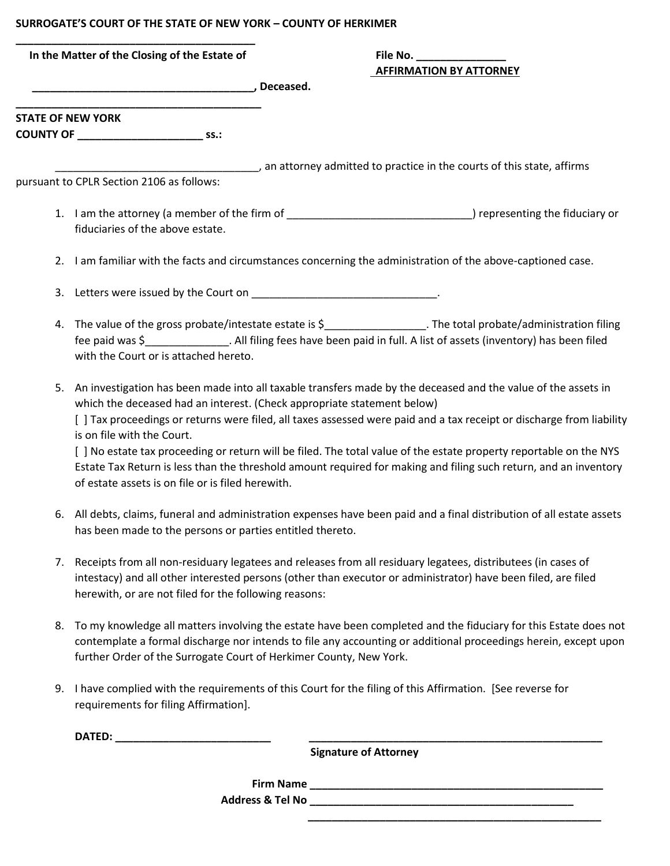## **SURROGATE'S COURT OF THE STATE OF NEW YORK – COUNTY OF HERKIMER**

| In the Matter of the Closing of the Estate of                                                                                                                                                                                                                                         | File No.<br><b>AFFIRMATION BY ATTORNEY</b>                                                                                                                                                                                                                                                                                                                                                                                                                                                                                                                     |
|---------------------------------------------------------------------------------------------------------------------------------------------------------------------------------------------------------------------------------------------------------------------------------------|----------------------------------------------------------------------------------------------------------------------------------------------------------------------------------------------------------------------------------------------------------------------------------------------------------------------------------------------------------------------------------------------------------------------------------------------------------------------------------------------------------------------------------------------------------------|
| <b>STATE OF NEW YORK</b>                                                                                                                                                                                                                                                              |                                                                                                                                                                                                                                                                                                                                                                                                                                                                                                                                                                |
| pursuant to CPLR Section 2106 as follows:                                                                                                                                                                                                                                             | an attorney admitted to practice in the courts of this state, affirms (and the courts of this state, affirms)                                                                                                                                                                                                                                                                                                                                                                                                                                                  |
| fiduciaries of the above estate.                                                                                                                                                                                                                                                      | 1. I am the attorney (a member of the firm of __________________________________) representing the fiduciary or<br>2. I am familiar with the facts and circumstances concerning the administration of the above-captioned case.                                                                                                                                                                                                                                                                                                                                |
|                                                                                                                                                                                                                                                                                       |                                                                                                                                                                                                                                                                                                                                                                                                                                                                                                                                                                |
| 4. The value of the gross probate/intestate estate is \$___________________. The total probate/administration filing<br>fee paid was \$________________. All filing fees have been paid in full. A list of assets (inventory) has been filed<br>with the Court or is attached hereto. |                                                                                                                                                                                                                                                                                                                                                                                                                                                                                                                                                                |
| is on file with the Court.<br>of estate assets is on file or is filed herewith.                                                                                                                                                                                                       | 5. An investigation has been made into all taxable transfers made by the deceased and the value of the assets in<br>which the deceased had an interest. (Check appropriate statement below)<br>[ ] Tax proceedings or returns were filed, all taxes assessed were paid and a tax receipt or discharge from liability<br>[ ] No estate tax proceeding or return will be filed. The total value of the estate property reportable on the NYS<br>Estate Tax Return is less than the threshold amount required for making and filing such return, and an inventory |

- 6. All debts, claims, funeral and administration expenses have been paid and a final distribution of all estate assets has been made to the persons or parties entitled thereto.
- 7. Receipts from all non-residuary legatees and releases from all residuary legatees, distributees (in cases of intestacy) and all other interested persons (other than executor or administrator) have been filed, are filed herewith, or are not filed for the following reasons:
- 8. To my knowledge all matters involving the estate have been completed and the fiduciary for this Estate does not contemplate a formal discharge nor intends to file any accounting or additional proceedings herein, except upon further Order of the Surrogate Court of Herkimer County, New York.
- 9. I have complied with the requirements of this Court for the filing of this Affirmation. [See reverse for requirements for filing Affirmation].

**DATED: \_\_\_\_\_\_\_\_\_\_\_\_\_\_\_\_\_\_\_\_\_\_\_\_\_\_ \_\_\_\_\_\_\_\_\_\_\_\_\_\_\_\_\_\_\_\_\_\_\_\_\_\_\_\_\_\_\_\_\_\_\_\_\_\_\_\_\_\_\_\_\_\_\_\_\_** 

 **Signature of Attorney**

 **\_\_\_\_\_\_\_\_\_\_\_\_\_\_\_\_\_\_\_\_\_\_\_\_\_\_\_\_\_\_\_\_\_\_\_\_\_\_\_\_\_\_\_\_\_\_\_\_\_**

**Firm Name \_\_\_\_\_\_\_\_\_\_\_\_\_\_\_\_\_\_\_\_\_\_\_\_\_\_\_\_\_\_\_\_\_\_\_\_\_\_\_\_\_\_\_\_\_\_\_\_\_ Address & Tel No \_\_\_\_\_\_\_\_\_\_\_\_\_\_\_\_\_\_\_\_\_\_\_\_\_\_\_\_\_\_\_\_\_\_\_\_\_\_\_\_\_\_\_\_**